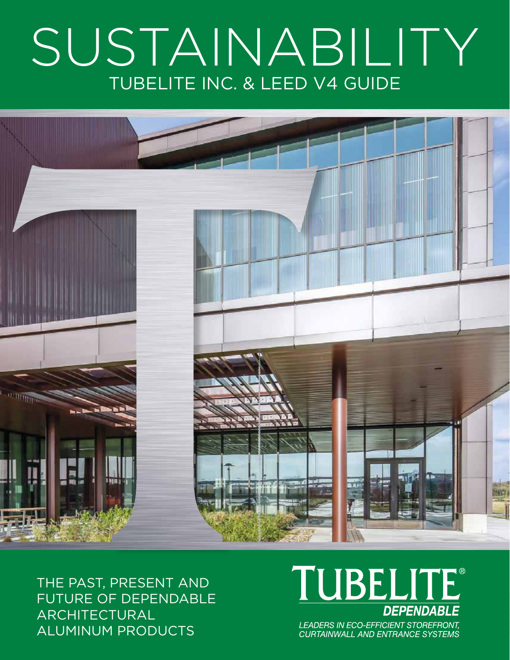# SUSTAINABILITY TUBELITE INC. & LEED V4 GUIDE



THE PAST, PRESENT AND FUTURE OF DEPENDABLE ARCHITECTURAL ALUMINUM PRODUCTS

# TUBELITE® **DEPENDABLE**

LEADERS IN ECO-EFFICIENT STOREFRONT,<br>CURTAINWALL AND ENTRANCE SYSTEMS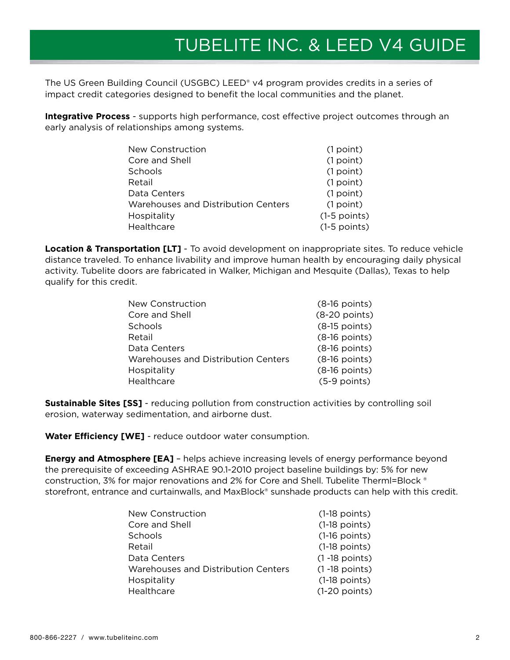### TUBELITE INC. & LEED V4 GUIDE

The US Green Building Council (USGBC) LEED® v4 program provides credits in a series of impact credit categories designed to benefit the local communities and the planet.

**Integrative Process** - supports high performance, cost effective project outcomes through an early analysis of relationships among systems.

| (1 point)      |
|----------------|
| (1 point)      |
| (1 point)      |
| (1 point)      |
| (1 point)      |
| (1 point)      |
| $(1-5$ points) |
| $(1-5$ points) |
|                |

**Location & Transportation [LT]** - To avoid development on inappropriate sites. To reduce vehicle distance traveled. To enhance livability and improve human health by encouraging daily physical activity. Tubelite doors are fabricated in Walker, Michigan and Mesquite (Dallas), Texas to help qualify for this credit.

| Core and Shell                             | $(8-20$ points) |
|--------------------------------------------|-----------------|
| Schools                                    | $(8-15$ points) |
| Retail                                     | $(8-16$ points) |
| Data Centers                               | $(8-16$ points) |
| <b>Warehouses and Distribution Centers</b> | $(8-16$ points) |
| Hospitality                                | $(8-16$ points) |
| Healthcare                                 | $(5-9$ points)  |

**Sustainable Sites [SS]** - reducing pollution from construction activities by controlling soil erosion, waterway sedimentation, and airborne dust.

**Water Efficiency [WE]** - reduce outdoor water consumption.

**Energy and Atmosphere [EA]** – helps achieve increasing levels of energy performance beyond the prerequisite of exceeding ASHRAE 90.1-2010 project baseline buildings by: 5% for new construction, 3% for major renovations and 2% for Core and Shell. Tubelite Therml=Block ® storefront, entrance and curtainwalls, and MaxBlock® sunshade products can help with this credit.

| $(1-18$ points)   |
|-------------------|
| $(1-18$ points)   |
| $(1-16$ points)   |
| $(1-18$ points)   |
| $(1 - 18$ points) |
| $(1 - 18$ points) |
| $(1-18$ points)   |
| $(1-20$ points)   |
|                   |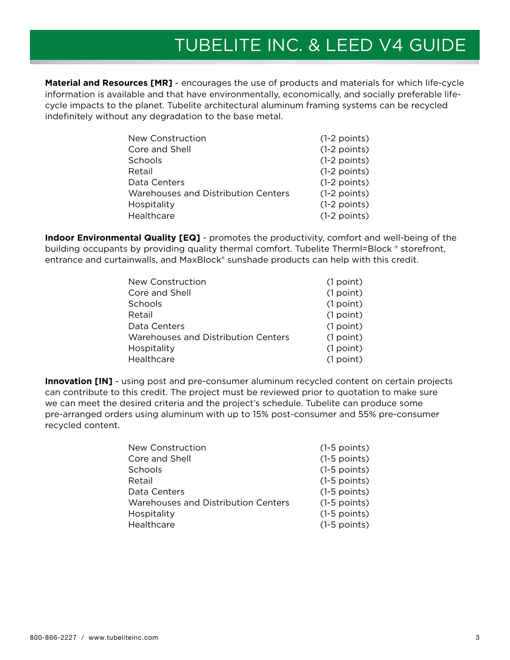## TUBELITE INC. & LEED V4 GUIDE

**Material and Resources [MR]** - encourages the use of products and materials for which life-cycle information is available and that have environmentally, economically, and socially preferable lifecycle impacts to the planet. Tubelite architectural aluminum framing systems can be recycled indefinitely without any degradation to the base metal.

| New Construction                    | $(1-2$ points) |
|-------------------------------------|----------------|
| Core and Shell                      | $(1-2$ points) |
| Schools                             | $(1-2$ points) |
| Retail                              | $(1-2$ points) |
| Data Centers                        | $(1-2$ points) |
| Warehouses and Distribution Centers | $(1-2$ points) |
| Hospitality                         | $(1-2$ points) |
| Healthcare                          | $(1-2$ points) |

**Indoor Environmental Quality [EQ]** - promotes the productivity, comfort and well-being of the building occupants by providing quality thermal comfort. Tubelite Therml=Block ® storefront, entrance and curtainwalls, and MaxBlock® sunshade products can help with this credit.

| <b>New Construction</b>                    | (1 point) |
|--------------------------------------------|-----------|
| Core and Shell                             | (1 point) |
| Schools                                    | (1 point) |
| Retail                                     | (1 point) |
| Data Centers                               | (1 point) |
| <b>Warehouses and Distribution Centers</b> | (1 point) |
| Hospitality                                | (1 point) |
| Healthcare                                 | (1 point) |
|                                            |           |

**Innovation [IN]** - using post and pre-consumer aluminum recycled content on certain projects can contribute to this credit. The project must be reviewed prior to quotation to make sure we can meet the desired criteria and the project's schedule. Tubelite can produce some pre-arranged orders using aluminum with up to 15% post-consumer and 55% pre-consumer recycled content.

| New Construction                    | $(1-5$ points) |
|-------------------------------------|----------------|
| Core and Shell                      | $(1-5$ points) |
| Schools                             | $(1-5$ points) |
| Retail                              | $(1-5$ points) |
| Data Centers                        | $(1-5$ points) |
| Warehouses and Distribution Centers | $(1-5$ points) |
| Hospitality                         | $(1-5$ points) |
| Healthcare                          | $(1-5$ points) |
|                                     |                |